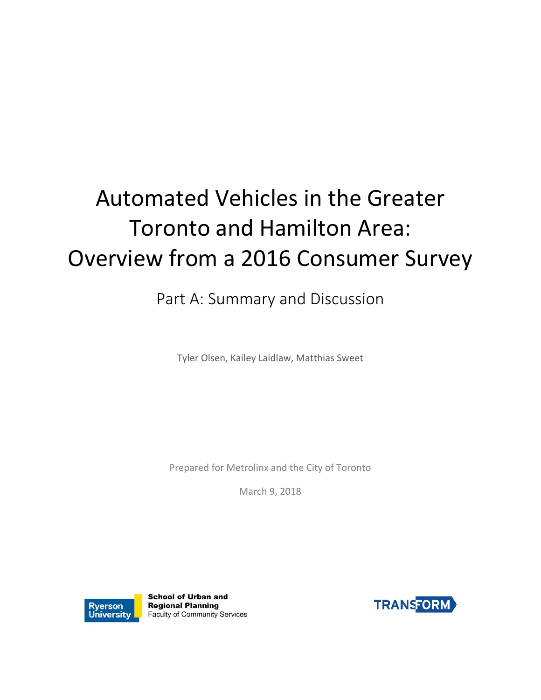# Automated Vehicles in the Greater Toronto and Hamilton Area: Overview from a 2016 Consumer Survey

Part A: Summary and Discussion

Tyler Olsen, Kailey Laidlaw, Matthias Sweet

Prepared for Metrolinx and the City of Toronto

March 9, 2018



**School of Urban and Regional Planning** Faculty of Community Services

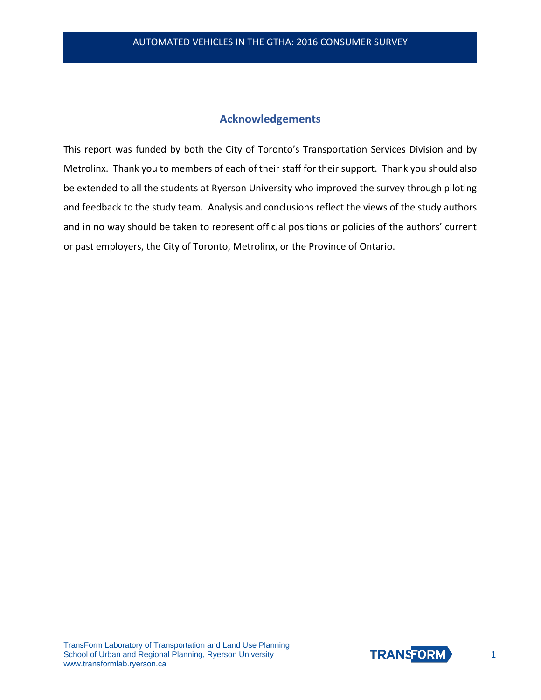## **Acknowledgements**

This report was funded by both the City of Toronto's Transportation Services Division and by Metrolinx. Thank you to members of each of their staff for their support. Thank you should also be extended to all the students at Ryerson University who improved the survey through piloting and feedback to the study team. Analysis and conclusions reflect the views of the study authors and in no way should be taken to represent official positions or policies of the authors' current or past employers, the City of Toronto, Metrolinx, or the Province of Ontario.

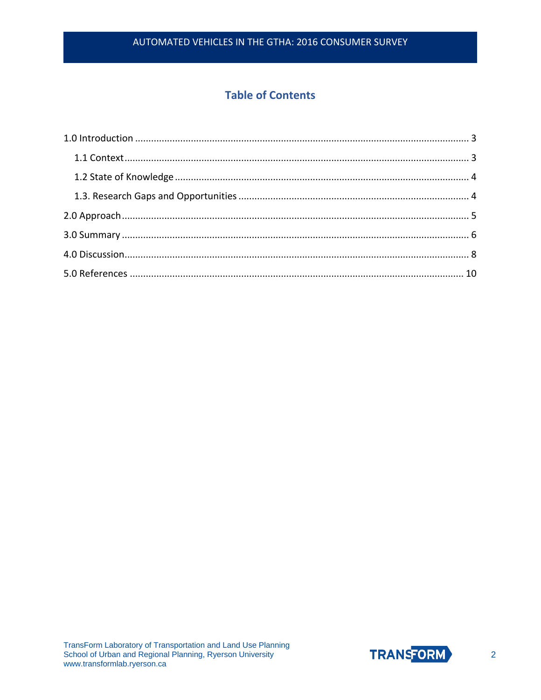## **Table of Contents**

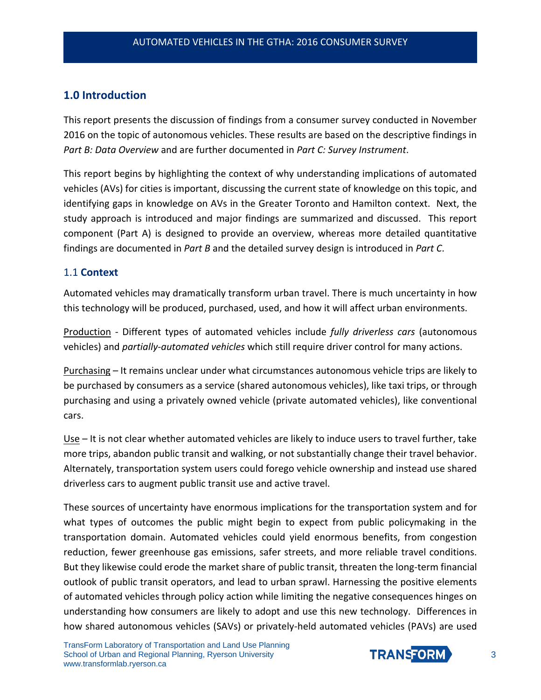## <span id="page-3-0"></span>**1.0 Introduction**

This report presents the discussion of findings from a consumer survey conducted in November 2016 on the topic of autonomous vehicles. These results are based on the descriptive findings in *Part B: Data Overview* and are further documented in *Part C: Survey Instrument*.

This report begins by highlighting the context of why understanding implications of automated vehicles (AVs) for cities is important, discussing the current state of knowledge on this topic, and identifying gaps in knowledge on AVs in the Greater Toronto and Hamilton context. Next, the study approach is introduced and major findings are summarized and discussed. This report component (Part A) is designed to provide an overview, whereas more detailed quantitative findings are documented in *Part B* and the detailed survey design is introduced in *Part C*.

#### <span id="page-3-1"></span>1.1 **Context**

Automated vehicles may dramatically transform urban travel. There is much uncertainty in how this technology will be produced, purchased, used, and how it will affect urban environments.

Production - Different types of automated vehicles include *fully driverless cars* (autonomous vehicles) and *partially-automated vehicles* which still require driver control for many actions.

Purchasing – It remains unclear under what circumstances autonomous vehicle trips are likely to be purchased by consumers as a service (shared autonomous vehicles), like taxi trips, or through purchasing and using a privately owned vehicle (private automated vehicles), like conventional cars.

Use – It is not clear whether automated vehicles are likely to induce users to travel further, take more trips, abandon public transit and walking, or not substantially change their travel behavior. Alternately, transportation system users could forego vehicle ownership and instead use shared driverless cars to augment public transit use and active travel.

These sources of uncertainty have enormous implications for the transportation system and for what types of outcomes the public might begin to expect from public policymaking in the transportation domain. Automated vehicles could yield enormous benefits, from congestion reduction, fewer greenhouse gas emissions, safer streets, and more reliable travel conditions. But they likewise could erode the market share of public transit, threaten the long-term financial outlook of public transit operators, and lead to urban sprawl. Harnessing the positive elements of automated vehicles through policy action while limiting the negative consequences hinges on understanding how consumers are likely to adopt and use this new technology. Differences in how shared autonomous vehicles (SAVs) or privately-held automated vehicles (PAVs) are used

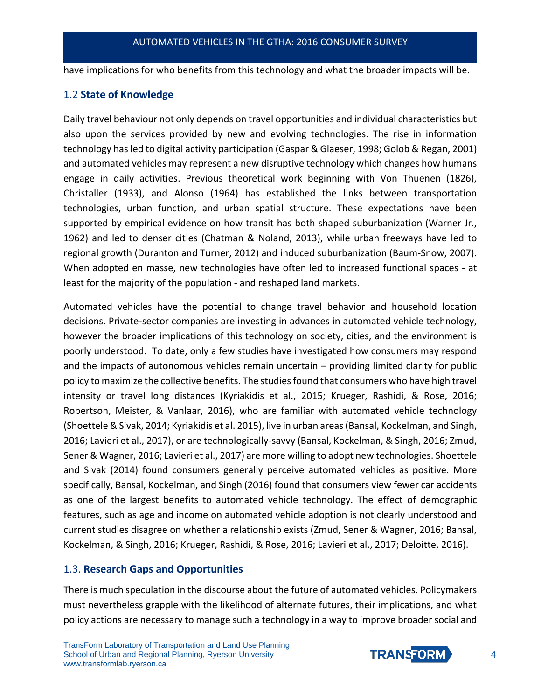have implications for who benefits from this technology and what the broader impacts will be.

#### <span id="page-4-0"></span>1.2 **State of Knowledge**

Daily travel behaviour not only depends on travel opportunities and individual characteristics but also upon the services provided by new and evolving technologies. The rise in information technology has led to digital activity participation (Gaspar & Glaeser, 1998; Golob & Regan, 2001) and automated vehicles may represent a new disruptive technology which changes how humans engage in daily activities. Previous theoretical work beginning with Von Thuenen (1826), Christaller (1933), and Alonso (1964) has established the links between transportation technologies, urban function, and urban spatial structure. These expectations have been supported by empirical evidence on how transit has both shaped suburbanization (Warner Jr., 1962) and led to denser cities (Chatman & Noland, 2013), while urban freeways have led to regional growth (Duranton and Turner, 2012) and induced suburbanization (Baum-Snow, 2007). When adopted en masse, new technologies have often led to increased functional spaces - at least for the majority of the population - and reshaped land markets.

Automated vehicles have the potential to change travel behavior and household location decisions. Private-sector companies are investing in advances in automated vehicle technology, however the broader implications of this technology on society, cities, and the environment is poorly understood. To date, only a few studies have investigated how consumers may respond and the impacts of autonomous vehicles remain uncertain – providing limited clarity for public policy to maximize the collective benefits. The studies found that consumers who have high travel intensity or travel long distances (Kyriakidis et al., 2015; Krueger, Rashidi, & Rose, 2016; Robertson, Meister, & Vanlaar, 2016), who are familiar with automated vehicle technology (Shoettele & Sivak, 2014; Kyriakidis et al. 2015), live in urban areas (Bansal, Kockelman, and Singh, 2016; Lavieri et al., 2017), or are technologically-savvy (Bansal, Kockelman, & Singh, 2016; Zmud, Sener & Wagner, 2016; Lavieri et al., 2017) are more willing to adopt new technologies. Shoettele and Sivak (2014) found consumers generally perceive automated vehicles as positive. More specifically, Bansal, Kockelman, and Singh (2016) found that consumers view fewer car accidents as one of the largest benefits to automated vehicle technology. The effect of demographic features, such as age and income on automated vehicle adoption is not clearly understood and current studies disagree on whether a relationship exists (Zmud, Sener & Wagner, 2016; Bansal, Kockelman, & Singh, 2016; Krueger, Rashidi, & Rose, 2016; Lavieri et al., 2017; Deloitte, 2016).

## <span id="page-4-1"></span>1.3. **Research Gaps and Opportunities**

There is much speculation in the discourse about the future of automated vehicles. Policymakers must nevertheless grapple with the likelihood of alternate futures, their implications, and what policy actions are necessary to manage such a technology in a way to improve broader social and

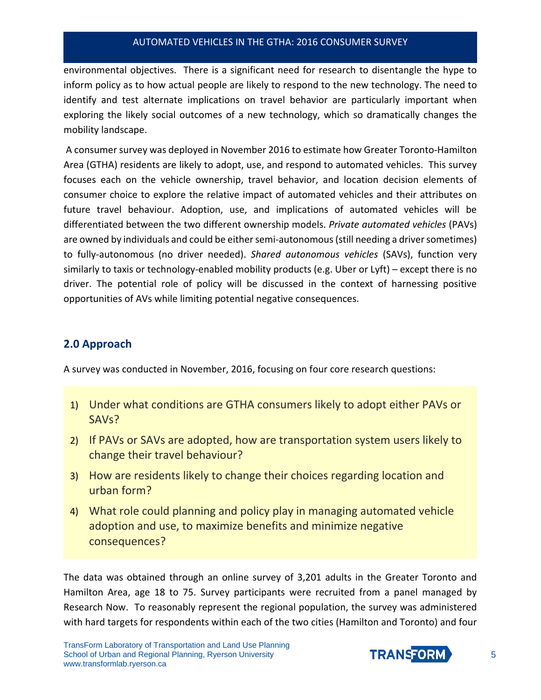environmental objectives. There is a significant need for research to disentangle the hype to inform policy as to how actual people are likely to respond to the new technology. The need to identify and test alternate implications on travel behavior are particularly important when exploring the likely social outcomes of a new technology, which so dramatically changes the mobility landscape.

A consumer survey was deployed in November 2016 to estimate how Greater Toronto-Hamilton Area (GTHA) residents are likely to adopt, use, and respond to automated vehicles. This survey focuses each on the vehicle ownership, travel behavior, and location decision elements of consumer choice to explore the relative impact of automated vehicles and their attributes on future travel behaviour. Adoption, use, and implications of automated vehicles will be differentiated between the two different ownership models. *Private automated vehicles* (PAVs) are owned by individuals and could be either semi-autonomous (still needing a driver sometimes) to fully-autonomous (no driver needed). *Shared autonomous vehicles* (SAVs), function very similarly to taxis or technology-enabled mobility products (e.g. Uber or Lyft) – except there is no driver. The potential role of policy will be discussed in the context of harnessing positive opportunities of AVs while limiting potential negative consequences.

### <span id="page-5-0"></span>**2.0 Approach**

A survey was conducted in November, 2016, focusing on four core research questions:

- 1) Under what conditions are GTHA consumers likely to adopt either PAVs or SAVs?
- 2) If PAVs or SAVs are adopted, how are transportation system users likely to change their travel behaviour?
- 3) How are residents likely to change their choices regarding location and urban form?
- 4) What role could planning and policy play in managing automated vehicle adoption and use, to maximize benefits and minimize negative consequences?

The data was obtained through an online survey of 3,201 adults in the Greater Toronto and Hamilton Area, age 18 to 75. Survey participants were recruited from a panel managed by Research Now. To reasonably represent the regional population, the survey was administered with hard targets for respondents within each of the two cities (Hamilton and Toronto) and four

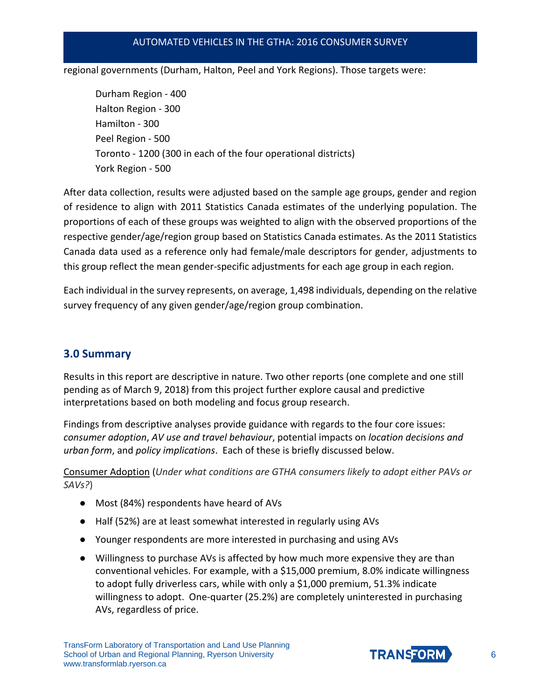regional governments (Durham, Halton, Peel and York Regions). Those targets were:

Durham Region - 400 Halton Region - 300 Hamilton - 300 Peel Region - 500 Toronto - 1200 (300 in each of the four operational districts) York Region - 500

After data collection, results were adjusted based on the sample age groups, gender and region of residence to align with 2011 Statistics Canada estimates of the underlying population. The proportions of each of these groups was weighted to align with the observed proportions of the respective gender/age/region group based on Statistics Canada estimates. As the 2011 Statistics Canada data used as a reference only had female/male descriptors for gender, adjustments to this group reflect the mean gender-specific adjustments for each age group in each region.

Each individual in the survey represents, on average, 1,498 individuals, depending on the relative survey frequency of any given gender/age/region group combination.

## <span id="page-6-0"></span>**3.0 Summary**

Results in this report are descriptive in nature. Two other reports (one complete and one still pending as of March 9, 2018) from this project further explore causal and predictive interpretations based on both modeling and focus group research.

Findings from descriptive analyses provide guidance with regards to the four core issues: *consumer adoption*, *AV use and travel behaviour*, potential impacts on *location decisions and urban form*, and *policy implications*. Each of these is briefly discussed below.

Consumer Adoption (*Under what conditions are GTHA consumers likely to adopt either PAVs or SAVs?*)

- Most (84%) respondents have heard of AVs
- Half (52%) are at least somewhat interested in regularly using AVs
- Younger respondents are more interested in purchasing and using AVs
- Willingness to purchase AVs is affected by how much more expensive they are than conventional vehicles. For example, with a \$15,000 premium, 8.0% indicate willingness to adopt fully driverless cars, while with only a \$1,000 premium, 51.3% indicate willingness to adopt. One-quarter (25.2%) are completely uninterested in purchasing AVs, regardless of price.

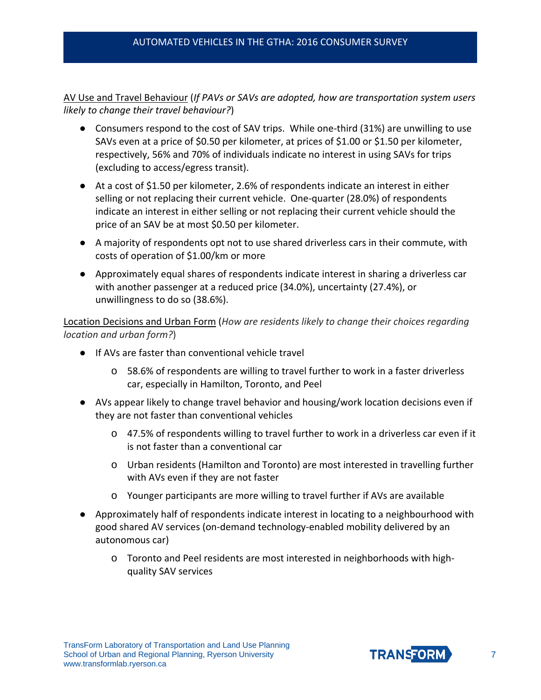AV Use and Travel Behaviour (*If PAVs or SAVs are adopted, how are transportation system users likely to change their travel behaviour?*)

- Consumers respond to the cost of SAV trips. While one-third (31%) are unwilling to use SAVs even at a price of \$0.50 per kilometer, at prices of \$1.00 or \$1.50 per kilometer, respectively, 56% and 70% of individuals indicate no interest in using SAVs for trips (excluding to access/egress transit).
- At a cost of \$1.50 per kilometer, 2.6% of respondents indicate an interest in either selling or not replacing their current vehicle. One-quarter (28.0%) of respondents indicate an interest in either selling or not replacing their current vehicle should the price of an SAV be at most \$0.50 per kilometer.
- A majority of respondents opt not to use shared driverless cars in their commute, with costs of operation of \$1.00/km or more
- Approximately equal shares of respondents indicate interest in sharing a driverless car with another passenger at a reduced price (34.0%), uncertainty (27.4%), or unwillingness to do so (38.6%).

Location Decisions and Urban Form (*How are residents likely to change their choices regarding location and urban form?*)

- If AVs are faster than conventional vehicle travel
	- o 58.6% of respondents are willing to travel further to work in a faster driverless car, especially in Hamilton, Toronto, and Peel
- AVs appear likely to change travel behavior and housing/work location decisions even if they are not faster than conventional vehicles
	- o 47.5% of respondents willing to travel further to work in a driverless car even if it is not faster than a conventional car
	- o Urban residents (Hamilton and Toronto) are most interested in travelling further with AVs even if they are not faster
	- o Younger participants are more willing to travel further if AVs are available
- Approximately half of respondents indicate interest in locating to a neighbourhood with good shared AV services (on-demand technology-enabled mobility delivered by an autonomous car)
	- o Toronto and Peel residents are most interested in neighborhoods with highquality SAV services

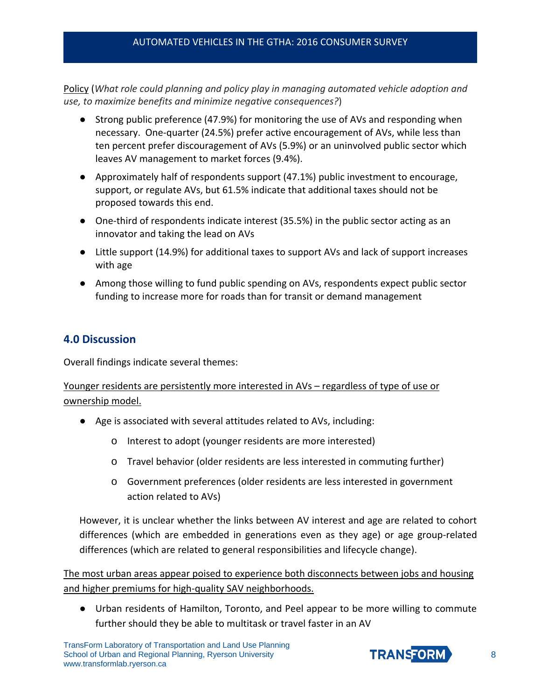Policy (*What role could planning and policy play in managing automated vehicle adoption and use, to maximize benefits and minimize negative consequences?*)

- Strong public preference (47.9%) for monitoring the use of AVs and responding when necessary. One-quarter (24.5%) prefer active encouragement of AVs, while less than ten percent prefer discouragement of AVs (5.9%) or an uninvolved public sector which leaves AV management to market forces (9.4%).
- Approximately half of respondents support (47.1%) public investment to encourage, support, or regulate AVs, but 61.5% indicate that additional taxes should not be proposed towards this end.
- One-third of respondents indicate interest (35.5%) in the public sector acting as an innovator and taking the lead on AVs
- Little support (14.9%) for additional taxes to support AVs and lack of support increases with age
- Among those willing to fund public spending on AVs, respondents expect public sector funding to increase more for roads than for transit or demand management

## <span id="page-8-0"></span>**4.0 Discussion**

Overall findings indicate several themes:

#### Younger residents are persistently more interested in AVs – regardless of type of use or ownership model.

- Age is associated with several attitudes related to AVs, including:
	- o Interest to adopt (younger residents are more interested)
	- o Travel behavior (older residents are less interested in commuting further)
	- o Government preferences (older residents are less interested in government action related to AVs)

However, it is unclear whether the links between AV interest and age are related to cohort differences (which are embedded in generations even as they age) or age group-related differences (which are related to general responsibilities and lifecycle change).

The most urban areas appear poised to experience both disconnects between jobs and housing and higher premiums for high-quality SAV neighborhoods.

● Urban residents of Hamilton, Toronto, and Peel appear to be more willing to commute further should they be able to multitask or travel faster in an AV

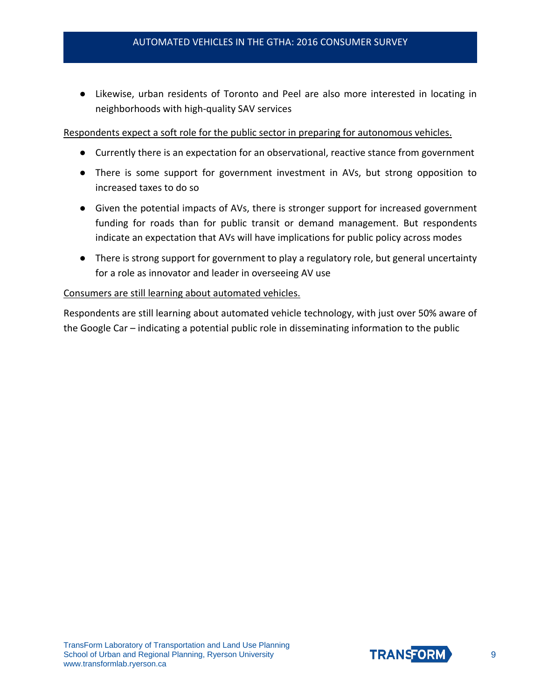● Likewise, urban residents of Toronto and Peel are also more interested in locating in neighborhoods with high-quality SAV services

#### Respondents expect a soft role for the public sector in preparing for autonomous vehicles.

- Currently there is an expectation for an observational, reactive stance from government
- There is some support for government investment in AVs, but strong opposition to increased taxes to do so
- Given the potential impacts of AVs, there is stronger support for increased government funding for roads than for public transit or demand management. But respondents indicate an expectation that AVs will have implications for public policy across modes
- There is strong support for government to play a regulatory role, but general uncertainty for a role as innovator and leader in overseeing AV use

#### Consumers are still learning about automated vehicles.

Respondents are still learning about automated vehicle technology, with just over 50% aware of the Google Car – indicating a potential public role in disseminating information to the public

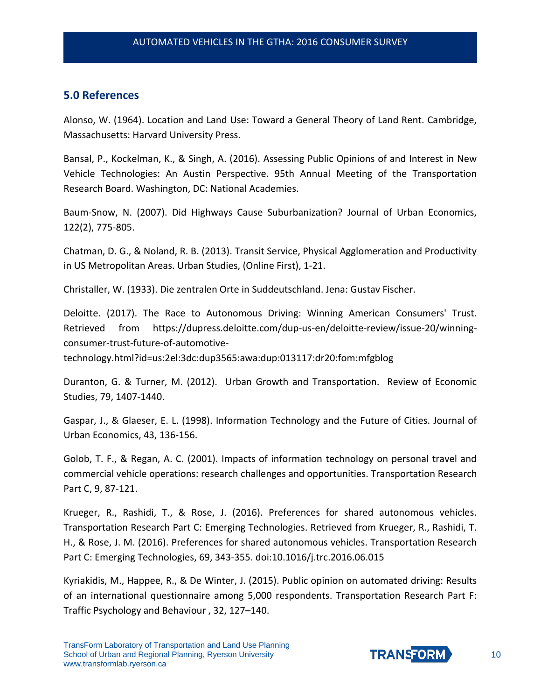#### <span id="page-10-0"></span>**5.0 References**

Alonso, W. (1964). Location and Land Use: Toward a General Theory of Land Rent. Cambridge, Massachusetts: Harvard University Press.

Bansal, P., Kockelman, K., & Singh, A. (2016). Assessing Public Opinions of and Interest in New Vehicle Technologies: An Austin Perspective. 95th Annual Meeting of the Transportation Research Board. Washington, DC: National Academies.

Baum-Snow, N. (2007). Did Highways Cause Suburbanization? Journal of Urban Economics, 122(2), 775-805.

Chatman, D. G., & Noland, R. B. (2013). Transit Service, Physical Agglomeration and Productivity in US Metropolitan Areas. Urban Studies, (Online First), 1-21.

Christaller, W. (1933). Die zentralen Orte in Suddeutschland. Jena: Gustav Fischer.

Deloitte. (2017). The Race to Autonomous Driving: Winning American Consumers' Trust. Retrieved from https://dupress.deloitte.com/dup-us-en/deloitte-review/issue-20/winningconsumer-trust-future-of-automotive-

technology.html?id=us:2el:3dc:dup3565:awa:dup:013117:dr20:fom:mfgblog

Duranton, G. & Turner, M. (2012). Urban Growth and Transportation. Review of Economic Studies, 79, 1407-1440.

Gaspar, J., & Glaeser, E. L. (1998). Information Technology and the Future of Cities. Journal of Urban Economics, 43, 136-156.

Golob, T. F., & Regan, A. C. (2001). Impacts of information technology on personal travel and commercial vehicle operations: research challenges and opportunities. Transportation Research Part C, 9, 87-121.

Krueger, R., Rashidi, T., & Rose, J. (2016). Preferences for shared autonomous vehicles. Transportation Research Part C: Emerging Technologies. Retrieved from Krueger, R., Rashidi, T. H., & Rose, J. M. (2016). Preferences for shared autonomous vehicles. Transportation Research Part C: Emerging Technologies, 69, 343-355. doi:10.1016/j.trc.2016.06.015

Kyriakidis, M., Happee, R., & De Winter, J. (2015). Public opinion on automated driving: Results of an international questionnaire among 5,000 respondents. Transportation Research Part F: Traffic Psychology and Behaviour , 32, 127–140.